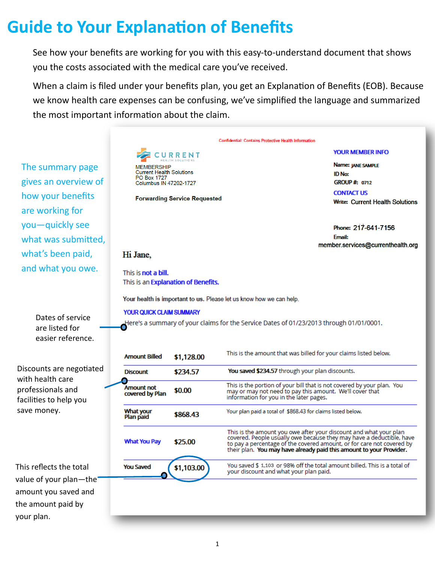## **Guide to Your Explanation of Benefits**

See how your benefits are working for you with this easy-to-understand document that shows you the costs associated with the medical care you've received.

When a claim is filed under your benefits plan, you get an Explanation of Benefits (EOB). Because we know health care expenses can be confusing, we've simplified the language and summarized the most important information about the claim.

The summary page gives an overview of how your benefits are working for you—quickly see what was submitted, what's been paid, and what you owe.



**Forwarding Service Requested** 

#### **YOUR MEMBER INFO**

Name: JANE SAMPLE **ID No: GROUP #: 0712 CONTACT US Write: Current Health Solutions** 

Phone: 217-641-7156 **Email:** member.services@currenthealth.org

#### Hi Jane,

This is not a bill. This is an Explanation of Benefits.

Your health is important to us. Please let us know how we can help.

#### **YOUR QUICK CLAIM SUMMARY**

Here's a summary of your claims for the Service Dates of 01/23/2013 through 01/01/0001.

Dates of service are listed for easier reference.

Discounts are negotiated with health care professionals and facilities to help you save money.

This reflects the total value of your plan—the amount you saved and the amount paid by your plan.

| <b>Amount Billed</b>          | \$1,128.00 | This is the amount that was billed for your claims listed below.                                                                                                                                                                                                                          |  |  |  |  |
|-------------------------------|------------|-------------------------------------------------------------------------------------------------------------------------------------------------------------------------------------------------------------------------------------------------------------------------------------------|--|--|--|--|
| <b>Discount</b>               | \$234.57   | You saved \$234.57 through your plan discounts.                                                                                                                                                                                                                                           |  |  |  |  |
| Amount not<br>covered by Plan | \$0.00     | This is the portion of your bill that is not covered by your plan. You<br>may or may not need to pay this amount. We'll cover that<br>information for you in the later pages.                                                                                                             |  |  |  |  |
| What your<br>Plan paid        | \$868.43   | Your plan paid a total of \$868.43 for claims listed below.                                                                                                                                                                                                                               |  |  |  |  |
| <b>What You Pay</b>           | \$25.00    | This is the amount you owe after your discount and what your plan<br>covered. People usually owe because they may have a deductible, have<br>to pay a percentage of the covered amount, or for care not covered by<br>their plan. You may have already paid this amount to your Provider. |  |  |  |  |
| <b>You Saved</b>              | \$1,103.00 | You saved \$ 1,103 or 98% off the total amount billed. This is a total of<br>your discount and what your plan paid.                                                                                                                                                                       |  |  |  |  |
|                               |            |                                                                                                                                                                                                                                                                                           |  |  |  |  |
|                               |            |                                                                                                                                                                                                                                                                                           |  |  |  |  |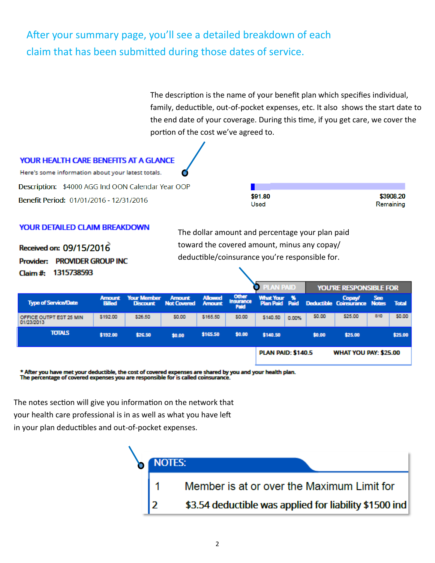### After your summary page, you'll see a detailed breakdown of each claim that has been submitted during those dates of service.

The description is the name of your benefit plan which specifies individual, family, deductible, out-of-pocket expenses, etc. It also shows the start date to the end date of your coverage. During this time, if you get care, we cover the portion of the cost we've agreed to.



#### **YOUR DETAILED CLAIM BREAKDOWN**

Received on: 09/15/2016 Provider: PROVIDER GROUP INC. Claim #: 1315738593

The dollar amount and percentage your plan paid toward the covered amount, minus any copay/ deductible/coinsurance you're responsible for.

|                                       |                                |                                       |                                     |                                 |                            | <b>PLAN PAID</b>          |       |        | <b>YOU'RE RESPONSIBLE FOR</b>                                         |     |              |  |  |
|---------------------------------------|--------------------------------|---------------------------------------|-------------------------------------|---------------------------------|----------------------------|---------------------------|-------|--------|-----------------------------------------------------------------------|-----|--------------|--|--|
| <b>Type of Service/Date</b>           | <b>Amount</b><br><b>Billed</b> | <b>Your Member</b><br><b>Discount</b> | <b>Amount</b><br><b>Not Covered</b> | <b>Allowed</b><br><b>Amount</b> | Other<br>Insurance<br>Paid |                           |       |        | What Your % Copay/ See<br>Plan Paid Paid Deductible Coinsurance Notes |     | <b>Total</b> |  |  |
| OFFICE OUTPT EST 25 MIN<br>01/23/2013 | \$192.00                       | \$26.50                               | \$0.00                              | \$165.50                        | \$0.00                     | \$140.50                  | 0.00% | \$0.00 | \$25.00                                                               | 810 | 50.00        |  |  |
| <b>TOTALS</b>                         | \$192.00                       | \$26.50                               | \$0.00                              | \$165.50                        | \$0.00                     | \$140.50                  |       | \$0.00 | \$25.00                                                               |     | \$25.00      |  |  |
|                                       |                                |                                       |                                     |                                 |                            | <b>PLAN PAID: \$140.5</b> |       |        | <b>WHAT YOU PAY: \$25.00</b>                                          |     |              |  |  |

\* After you have met your deductible, the cost of covered expenses are shared by you and your health plan.<br>The percentage of covered expenses you are responsible for is called coinsurance.

The notes section will give you information on the network that your health care professional is in as well as what you have left in your plan deductibles and out-of-pocket expenses.